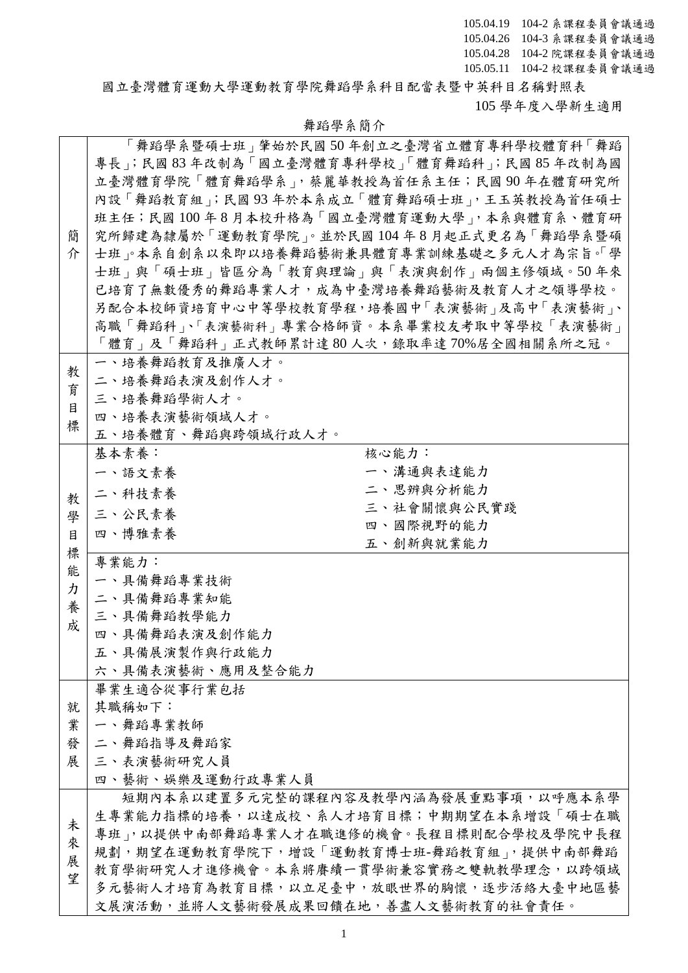國立臺灣體育運動大學運動教育學院舞蹈學系科目配當表暨中英科目名稱對照表 105 學年度入學新生適用

|   | 「舞蹈學系暨碩士班」肇始於民國 50 年創立之臺灣省立體育專科學校體育科「舞蹈       |
|---|-----------------------------------------------|
|   | 專長; 民國 83 年改制為「國立臺灣體育專科學校」「體育舞蹈科; 民國 85 年改制為國 |
|   | 立臺灣體育學院「體育舞蹈學系」,蔡麗華教授為首任系主任;民國90年在體育研究所       |
|   |                                               |
|   | 內設「舞蹈教育組」;民國93年於本系成立「體育舞蹈碩士班」,王玉英教授為首任碩士      |
|   | 班主任;民國100年8月本校升格為「國立臺灣體育運動大學」,本系與體育系、體育研      |
| 簡 | 究所歸建為隸屬於「運動教育學院」。並於民國104年8月起正式更名為「舞蹈學系暨碩      |
| 介 | 士班、本系自創系以來即以培養舞蹈藝術兼具體育專業訓練基礎之多元人才為宗旨。「學       |
|   | 士班」與「碩士班」皆區分為「教育與理論」與「表演與創作」兩個主修領域。50年來       |
|   | 已培育了無數優秀的舞蹈專業人才,成為中臺灣培養舞蹈藝術及教育人才之領導學校。        |
|   | 另配合本校師資培育中心中等學校教育學程,培養國中「表演藝術」及高中「表演藝術」、      |
|   | 高職「舞蹈科」、「表演藝術科」專業合格師資。本系畢業校友考取中等學校「表演藝術」      |
|   | 「體育」及「舞蹈科」正式教師累計達 80 人次,錄取率達 70%居全國相關系所之冠。    |
|   | 一、培養舞蹈教育及推廣人才。                                |
| 教 | 二、培養舞蹈表演及創作人才。                                |
| 育 | 三、培養舞蹈學術人才。                                   |
| 目 | 四、培養表演藝術領域人才。                                 |
| 標 | 五、培養體育、舞蹈與跨領域行政人才。                            |
|   | 基本素養:<br>核心能力:                                |
|   | 一、溝通與表達能力<br>一、語文素養                           |
|   | 二、思辨與分析能力                                     |
| 教 | 二、科技素養<br>三、社會關懷與公民實踐                         |
| 學 | 三、公民素養<br>四、國際視野的能力                           |
| 目 | 四、博雅素養<br>五、創新與就業能力                           |
| 標 | 專業能力:                                         |
| 能 | 一、具備舞蹈專業技術                                    |
| カ |                                               |
| 養 | 二、具備舞蹈專業知能                                    |
| 成 | 三、具備舞蹈教學能力                                    |
|   | 四、具備舞蹈表演及創作能力                                 |
|   | 五、具備展演製作與行政能力                                 |
|   | 六、具備表演藝術、應用及整合能力                              |
|   | 畢業生適合從事行業包括                                   |
| 就 | 其職稱如下:                                        |
| 業 | 一、舞蹈專業教師                                      |
| 發 | 二、舞蹈指導及舞蹈家                                    |
| 展 | 三、表演藝術研究人員                                    |
|   | 四、藝術、娛樂及運動行政專業人員                              |
|   | 短期內本系以建置多元完整的課程內容及教學內涵為發展重點事項,以呼應本系學          |
|   | 生專業能力指標的培養,以達成校、系人才培育目標;中期期望在本系增設「碩士在職        |
| 未 | 專班」,以提供中南部舞蹈專業人才在職進修的機會。長程目標則配合學校及學院中長程       |
| 來 | 規劃,期望在運動教育學院下,增設「運動教育博士班-舞蹈教育組」,提供中南部舞蹈       |
| 展 | 教育學術研究人才進修機會。本系將賡續一貫學術兼容實務之雙軌教學理念,以跨領域        |
| 望 | 多元藝術人才培育為教育目標,以立足臺中,放眼世界的胸懷,逐步活絡大臺中地區藝        |
|   | 文展演活動,並將人文藝術發展成果回饋在地,善盡人文藝術教育的社會責任。           |

## 舞蹈學系簡介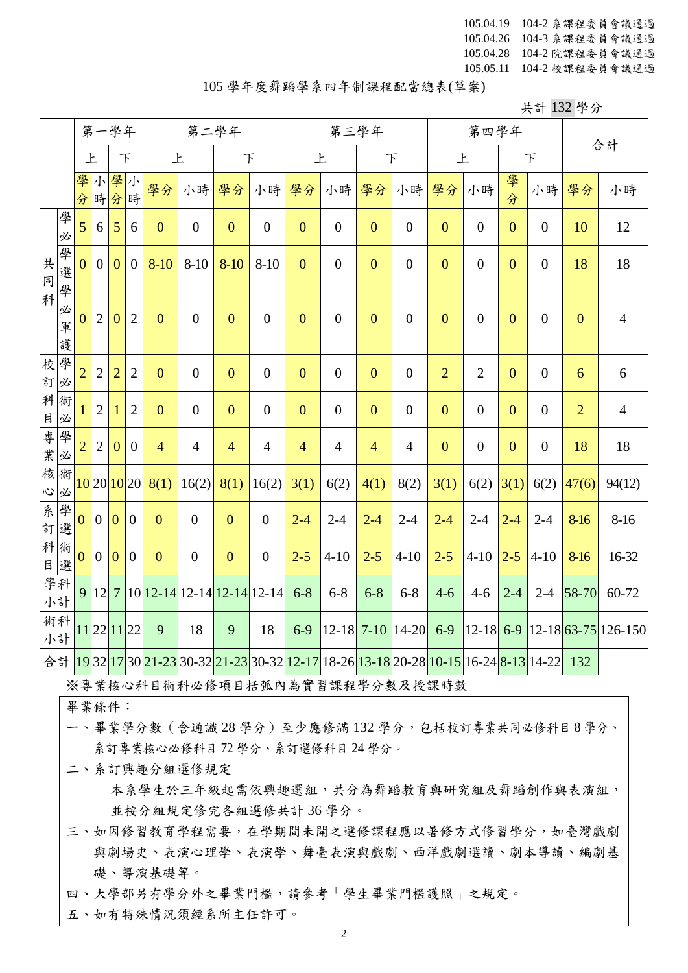## 105 學年度舞蹈學系四年制課程配當總表(草案)

共計 132 學分

|                                            |             | 第一學年           |                | 第二學年           |                  |                                      | 第三學年             |                |                  |                  |                  | 第四學年                                                                                                                                                                                                            |                  | 合計             |                  |                  |                  |                |                                                                                        |
|--------------------------------------------|-------------|----------------|----------------|----------------|------------------|--------------------------------------|------------------|----------------|------------------|------------------|------------------|-----------------------------------------------------------------------------------------------------------------------------------------------------------------------------------------------------------------|------------------|----------------|------------------|------------------|------------------|----------------|----------------------------------------------------------------------------------------|
|                                            |             | 上              |                |                | F                | 上                                    |                  | $\top$         |                  | 上                |                  | F                                                                                                                                                                                                               |                  | 上              |                  |                  | F                |                |                                                                                        |
|                                            |             | 學<br>分         |                | 小學<br>時分時      | 小                | 學分                                   | 小時               | 學分             | 小時               | 學分               | 小時               | 學分                                                                                                                                                                                                              | 小時               | 學分             | 小時               | 學<br>分           | 小時               | 學分             | 小時                                                                                     |
|                                            | 學<br>必      | 5 <sup>5</sup> | 6              | 5              | 6                | $\overline{0}$                       | $\overline{0}$   | $\overline{0}$ | $\overline{0}$   | $\overline{0}$   | $\boldsymbol{0}$ | $\overline{0}$                                                                                                                                                                                                  | $\overline{0}$   | $\overline{0}$ | $\boldsymbol{0}$ | $\mathbf{0}$     | $\boldsymbol{0}$ | 10             | 12                                                                                     |
| 共<br>$\overline{\mathbb{F}}$               | 學選學         | $\overline{0}$ | $\overline{0}$ | $\overline{0}$ | $\overline{0}$   | $8 - 10$                             | $8 - 10$         | $8 - 10$       | $8 - 10$         | $\overline{0}$   | $\boldsymbol{0}$ | $\mathbf{0}$                                                                                                                                                                                                    | $\overline{0}$   | $\mathbf{0}$   | $\boldsymbol{0}$ | $\overline{0}$   | $\boldsymbol{0}$ | 18             | 18                                                                                     |
| 科                                          | 必<br>軍<br>護 | $\overline{0}$ | $\overline{2}$ | $\mathbf{0}$   | $\overline{2}$   | $\overline{0}$                       | $\overline{0}$   | $\overline{0}$ | $\boldsymbol{0}$ | $\boldsymbol{0}$ | $\boldsymbol{0}$ | $\overline{0}$                                                                                                                                                                                                  | $\boldsymbol{0}$ | $\mathbf{0}$   | $\boldsymbol{0}$ | $\mathbf{0}$     | $\boldsymbol{0}$ | $\mathbf{0}$   | $\overline{4}$                                                                         |
| 校<br>訂必                                    | 學           | $\overline{2}$ | $\overline{2}$ | $\overline{2}$ | $\overline{2}$   | $\overline{0}$                       | $\boldsymbol{0}$ | $\overline{0}$ | $\boldsymbol{0}$ | $\mathbf{0}$     | $\boldsymbol{0}$ | $\overline{0}$                                                                                                                                                                                                  | $\boldsymbol{0}$ | $\overline{2}$ | $\overline{2}$   | $\mathbf{0}$     | $\boldsymbol{0}$ | 6              | 6                                                                                      |
| 科<br>$\begin{array}{c} \hline \end{array}$ | 術<br>必      | 1              | $\overline{2}$ | $\mathbf 1$    | $\overline{2}$   | $\mathbf{0}$                         | $\boldsymbol{0}$ | $\overline{0}$ | $\boldsymbol{0}$ | $\boldsymbol{0}$ | $\boldsymbol{0}$ | $\mathbf{0}$                                                                                                                                                                                                    | $\overline{0}$   | $\mathbf{0}$   | $\boldsymbol{0}$ | $\boldsymbol{0}$ | $\boldsymbol{0}$ | $\overline{2}$ | $\overline{4}$                                                                         |
| 事業                                         | 學<br>必      | $\overline{2}$ | $\overline{2}$ | $\overline{0}$ | $\overline{0}$   | $\overline{4}$                       | $\overline{4}$   | $\overline{4}$ | $\overline{4}$   | $\overline{4}$   | $\overline{4}$   | $\overline{4}$                                                                                                                                                                                                  | $\overline{4}$   | $\mathbf{0}$   | $\boldsymbol{0}$ | $\mathbf{0}$     | $\boldsymbol{0}$ | 18             | 18                                                                                     |
| 核<br>$\tilde{c}$                           | 術<br>必      |                |                | 10 20 10 20    |                  | 8(1)                                 | 16(2)            | 8(1)           | 16(2)            | 3(1)             | 6(2)             | 4(1)                                                                                                                                                                                                            | 8(2)             | 3(1)           | 6(2)             | 3(1)             | 6(2)             | 47(6)          | 94(12)                                                                                 |
| 系訂                                         | 學<br>選      | $\overline{0}$ | $\mathbf{0}$   | $\overline{0}$ | $\boldsymbol{0}$ | $\overline{0}$                       | $\overline{0}$   | $\overline{0}$ | $\boldsymbol{0}$ | $2 - 4$          | $2 - 4$          | $2 - 4$                                                                                                                                                                                                         | $2 - 4$          | $2 - 4$        | $2 - 4$          | $2 - 4$          | $2 - 4$          | 8-16           | $8 - 16$                                                                               |
| 科術<br>目                                    | 選           | $\overline{0}$ | $\overline{0}$ | $\overline{0}$ | $\boldsymbol{0}$ | $\overline{0}$                       | $\overline{0}$   | $\overline{0}$ | $\boldsymbol{0}$ | $2 - 5$          | $4 - 10$         | $2 - 5$                                                                                                                                                                                                         | $4 - 10$         | $2 - 5$        | $4 - 10$         | $2 - 5$          | $4 - 10$         | 8-16           | 16-32                                                                                  |
|                                            | 學科<br>小計    |                |                |                |                  | $9 12 7 10 12-14 12-14 12-14 12-14 $ |                  |                |                  | $6 - 8$          | $6 - 8$          | $6 - 8$                                                                                                                                                                                                         | $6 - 8$          | $4 - 6$        | $4 - 6$          | $2 - 4$          | $2 - 4$          | 58-70          | 60-72                                                                                  |
|                                            | 術科<br>小計    |                |                | 11221122       |                  | 9                                    | 18               | 9              | 18               | $6-9$            |                  | $ 12-18 $ 7-10 $ 14-20 $                                                                                                                                                                                        |                  | $6-9$          |                  |                  |                  |                | $\left  12 - 18 \right $ 6-9 $\left  12 - 18 \right $ 63-75 $\left  126 - 150 \right $ |
|                                            |             |                |                |                |                  |                                      |                  |                |                  |                  |                  | 合計 <mark>19</mark> 32 <mark>17</mark> 30 <mark>21-23</mark> 30-32 <mark>21-23</mark> 30-32 <mark>12-17</mark> 18-26 <mark>13-18</mark> 20-28 <mark>10-15</mark> 16-24 <mark>8-13</mark> 14-22 <mark> 132</mark> |                  |                |                  |                  |                  |                |                                                                                        |

※專業核心科目術科必修項目括弧內為實習課程學分數及授課時數

畢業條件:

- 一、畢業學分數(含通識 28 學分)至少應修滿 132 學分,包括校訂專業共同必修科目 8 學分、 系訂專業核心必修科目 72 學分、系訂選修科目 24 學分。
	- 本系學生於三年級起需依興趣選組,共分為舞蹈教育與研究組及舞蹈創作與表演組, 並按分組規定修完各組選修共計 36 學分。
- 三、如因修習教育學程需要,在學期間未開之選修課程應以暑修方式修習學分,如臺灣戲劇 與劇場史、表演心理學、表演學、舞臺表演與戲劇、西洋戲劇選讀、劇本導讀、編劇基 礎、導演基礎等。
- 四、大學部另有學分外之畢業門檻,請參考「學生畢業門檻護照」之規定。
- 五、如有特殊情況須經系所主任許可。

二、系訂興趣分組選修規定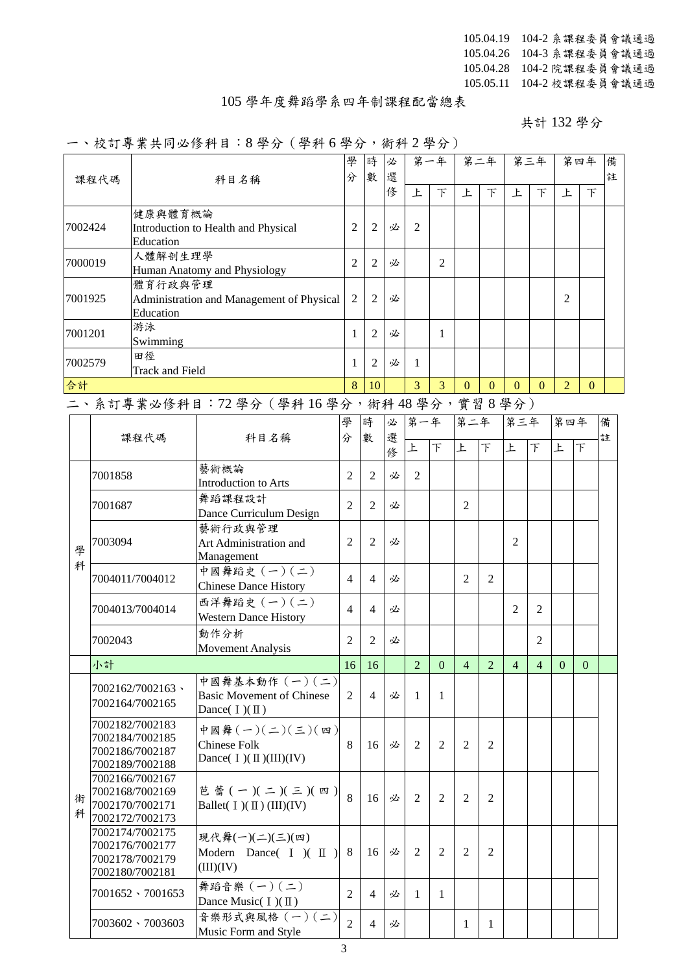## 105 學年度舞蹈學系四年制課程配當總表

共計 132 學分

## 一、校訂專業共同必修科目:8 學分(學科 6 學分,術科 2 學分)

|         |         | 13 ° 31 73 73 14 72 17 17 17        | $9 + 7 + 19 + 7$                                                        |                |                |             |                | $rr_1$ $\gamma_1$ $\gamma_2$ $\gamma_3$ $\gamma_4$ $\gamma_5$ |                |                |                |                |                |          |        |
|---------|---------|-------------------------------------|-------------------------------------------------------------------------|----------------|----------------|-------------|----------------|---------------------------------------------------------------|----------------|----------------|----------------|----------------|----------------|----------|--------|
|         | 課程代碼    |                                     | 科目名稱                                                                    | 學<br>分         | 時<br>數         | 必<br>選      |                | 第一年                                                           |                | 第二年            |                | 第三年            |                | 第四年      | 備<br>註 |
|         |         |                                     |                                                                         |                |                | 修           | 上              | $\top$                                                        | 上              | $\top$         | 上              | $\top$         | 上              | 下        |        |
| 7002424 |         | 健康與體育概論<br>Education                | Introduction to Health and Physical                                     | $\overline{2}$ | 2              | 必           | $\overline{2}$ |                                                               |                |                |                |                |                |          |        |
| 7000019 |         | 人體解剖生理學                             | Human Anatomy and Physiology                                            | 2              | 2              | 必           |                | 2                                                             |                |                |                |                |                |          |        |
| 7001925 |         | 體育行政與管理<br>Education                | Administration and Management of Physical                               | 2              | $\overline{2}$ | 必           |                |                                                               |                |                |                |                | $\overline{2}$ |          |        |
| 7001201 |         | 游泳<br>Swimming                      |                                                                         | $\mathbf{1}$   | 2              | 必           |                | $\mathbf{1}$                                                  |                |                |                |                |                |          |        |
| 7002579 |         | 田徑<br><b>Track and Field</b>        |                                                                         | 1              | 2              | 必           | $\mathbf{1}$   |                                                               |                |                |                |                |                |          |        |
| 合計      |         |                                     |                                                                         | 8              | 10             |             | $\overline{3}$ | $\overline{3}$                                                | $\Omega$       | $\Omega$       | $\Omega$       | $\Omega$       | $\overline{2}$ | $\Omega$ |        |
|         |         |                                     | 二、系訂專業必修科目:72學分 (學科16學分,術科48學分,實習8學分)                                   |                |                |             |                |                                                               |                |                |                |                |                |          |        |
|         |         | 課程代碼                                | 科目名稱                                                                    | 學<br>分         | 時<br>數         | 必<br>選<br>俢 | 第一年<br>上       | F                                                             | 第二年<br>上       | F              | 第三年<br>上       | F              | 第四年<br>上       | F        | 備<br>註 |
|         | 7001858 |                                     | 藝術概論<br>Introduction to Arts                                            | $\overline{2}$ | $\overline{2}$ | 必           | 2              |                                                               |                |                |                |                |                |          |        |
|         | 7001687 |                                     | 舞蹈課程設計<br>Dance Curriculum Design                                       | 2              | 2              | 必           |                |                                                               | 2              |                |                |                |                |          |        |
| 學       | 7003094 |                                     | 藝術行政與管理<br>Art Administration and<br>Management                         | $\overline{2}$ | 2              | 必           |                |                                                               |                |                | 2              |                |                |          |        |
| 科       |         | 7004011/7004012                     | 中國舞蹈史 (一)(二)<br><b>Chinese Dance History</b>                            | 4              | $\overline{4}$ | 必           |                |                                                               | $\overline{2}$ | $\overline{2}$ |                |                |                |          |        |
|         |         | 7004013/7004014                     | 西洋舞蹈史 (一)(二)<br><b>Western Dance History</b>                            | 4              | $\overline{4}$ | 必           |                |                                                               |                |                | $\overline{2}$ | $\overline{c}$ |                |          |        |
|         | 7002043 |                                     | 動作分析<br>Movement Analysis                                               | $\overline{2}$ | $\overline{2}$ | 必           |                |                                                               |                |                |                | $\overline{2}$ |                |          |        |
|         | 小計      |                                     |                                                                         | 16             | 16             |             | $\overline{2}$ | $\Omega$                                                      | $\overline{4}$ | $\overline{2}$ | $\overline{4}$ | $\overline{4}$ | $\Omega$       | $\Omega$ |        |
|         |         | 7002162/7002163、<br>7002164/7002165 | 中國舞基本動作 (一)(二)<br><b>Basic Movement of Chinese</b><br>Dance( $I)(II)$ ) | $\overline{2}$ | 4              | 必           | 1              | 1                                                             |                |                |                |                |                |          |        |
|         |         | 7002182/7002183                     | 中國舞(一)(一)(二)(四)                                                         |                |                |             |                |                                                               |                |                |                |                |                |          |        |

|        | 700210477002100                                                          | Dance( $I)(II)$ )                                                        |                |                |   |                |   |                |                |  |  |  |
|--------|--------------------------------------------------------------------------|--------------------------------------------------------------------------|----------------|----------------|---|----------------|---|----------------|----------------|--|--|--|
|        | 7002182/7002183<br>7002184/7002185<br>7002186/7002187<br>7002189/7002188 | 中國舞(一)(二)(三)(四)<br>Chinese Folk<br>Dance( $I$ )( $II$ )( $III$ )( $IV$ ) | 8              | 16             | 必 | 2              | 2 | $\overline{2}$ | $\mathfrak{D}$ |  |  |  |
| 術<br>科 | 7002166/7002167<br>7002168/7002169<br>7002170/7002171<br>7002172/7002173 | 芭蕾 (一)(二)(三)(四)<br>Ballet( $I)(II)(III)(IV)$                             | 8              | 16             | 必 | $\mathfrak{D}$ | 2 | 2              | $\mathfrak{D}$ |  |  |  |
|        | 7002174/7002175<br>7002176/7002177<br>7002178/7002179<br>7002180/7002181 | 現代舞(一)(二)(三)(四)<br>Modern Dance( $I$ )( $II$<br>(III)(IV)                | 8              | 16             | 必 | $\mathfrak{D}$ | 2 | $\overline{2}$ | $\overline{c}$ |  |  |  |
|        | $7001652 \cdot 7001653$                                                  | 舞蹈音樂 (一)(二)<br>Dance Music( $\mathbb{I}$ )( $\mathbb{I}$ )               | $\overline{2}$ | $\overline{4}$ | 必 |                | 1 |                |                |  |  |  |
|        | 7003602 \ 7003603                                                        | 音樂形式與風格 (一)(二)<br>Music Form and Style                                   | $\mathfrak{D}$ | 4              | 必 |                |   |                |                |  |  |  |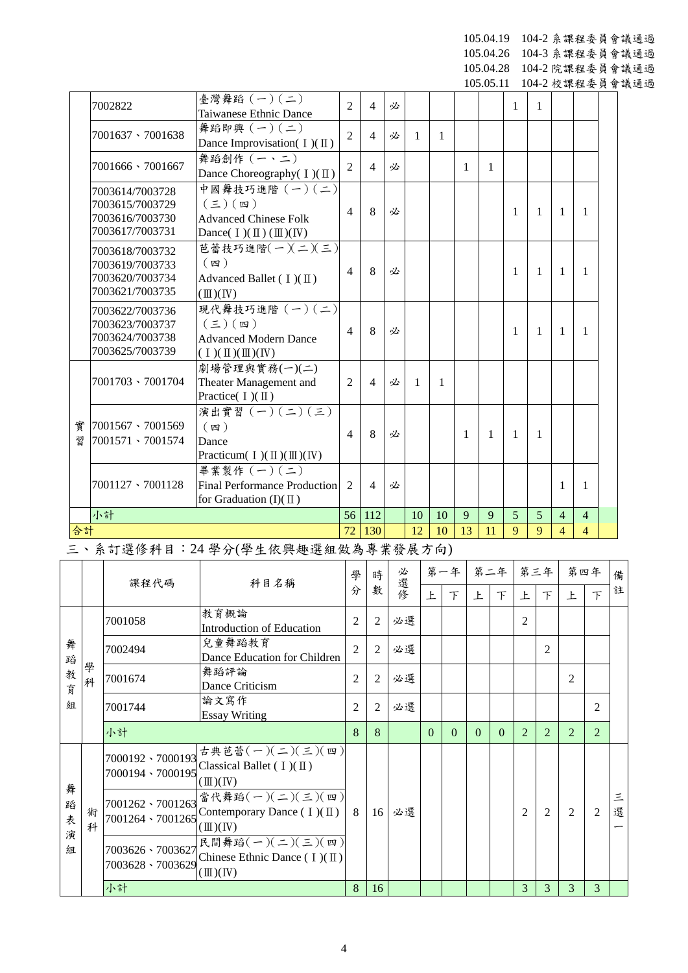105.04.19 104-2 系課程委員會議通過 105.04.26 104-3 系課程委員會議通過

105.04.28 104-2 院課程委員會議通過

105.05.11 104-2 校課程委員會議通過

|    | 7002822                 | 臺灣舞蹈 (一)(二)<br>Taiwanese Ethnic Dance                   | $\overline{2}$ | $\overline{4}$ | 必      |    |              |              |              | 1            | 1   |                |                |   |
|----|-------------------------|---------------------------------------------------------|----------------|----------------|--------|----|--------------|--------------|--------------|--------------|-----|----------------|----------------|---|
|    | 7001637 \7001638        | 舞蹈即興 (一)(二)                                             | $\overline{2}$ | $\overline{4}$ | 必      | 1  | $\mathbf{1}$ |              |              |              |     |                |                |   |
|    |                         | Dance Improvisation( $I$ )( $\mathbb{I}$ )              |                |                |        |    |              |              |              |              |     |                |                |   |
|    | $7001666 \cdot 7001667$ | 舞蹈創作 (一、二)                                              | $\overline{2}$ | $\overline{4}$ | 必      |    |              | $\mathbf{1}$ | $\mathbf{1}$ |              |     |                |                |   |
|    |                         | Dance Choreography( I)(II)                              |                |                |        |    |              |              |              |              |     |                |                |   |
|    | 7003614/7003728         | 中國舞技巧進階 (一)(二)                                          |                |                |        |    |              |              |              |              |     |                |                |   |
|    | 7003615/7003729         | $(\boldsymbol{\Xi})$ (四)                                | $\overline{4}$ | 8              | 必      |    |              |              |              | 1            | 1   | 1              | 1              |   |
|    | 7003616/7003730         | <b>Advanced Chinese Folk</b>                            |                |                |        |    |              |              |              |              |     |                |                |   |
|    | 7003617/7003731         | Dance( $I)(II)(III)(IV)$                                |                |                |        |    |              |              |              |              |     |                |                |   |
|    | 7003618/7003732         | 芭蕾技巧進階(一)(二)(三)                                         |                |                |        |    |              |              |              |              |     |                |                |   |
|    | 7003619/7003733         | $(\n$ 四 )                                               | $\overline{4}$ | 8              | 必      |    |              |              |              | 1            | 1   | 1              | 1              |   |
|    | 7003620/7003734         | Advanced Ballet $(1)(\mathbb{I})$                       |                |                |        |    |              |              |              |              |     |                |                |   |
|    | 7003621/7003735         | $(\mathbb{II})(\mathbb{N})$                             |                |                |        |    |              |              |              |              |     |                |                |   |
|    | 7003622/7003736         | 現代舞技巧進階 (一)(二)                                          |                |                |        |    |              |              |              |              |     |                |                |   |
|    | 7003623/7003737         | $(\Xi)(\mathfrak{w})$                                   | $\overline{4}$ | 8              | 必      |    |              |              |              | 1            | 1   | 1              | 1              |   |
|    | 7003624/7003738         | <b>Advanced Modern Dance</b>                            |                |                |        |    |              |              |              |              |     |                |                |   |
|    | 7003625/7003739         | $(1)(\mathbb{I})(\mathbb{I})(\mathbb{N})$               |                |                |        |    |              |              |              |              |     |                |                |   |
|    |                         | 劇場管理與實務(一)(二)                                           |                |                |        |    |              |              |              |              |     |                |                |   |
|    | $7001703 \cdot 7001704$ | Theater Management and                                  | $\overline{2}$ | $\overline{4}$ | 必      | 1  | 1            |              |              |              |     |                |                |   |
|    |                         | Practice( $I)(II)$                                      |                |                |        |    |              |              |              |              |     |                |                |   |
| 實  | 7001567、7001569         | 演出實習 (一) (二) (三)<br>$(\n$ 四 )                           |                |                |        |    |              |              |              |              |     |                |                |   |
| 꿥  | 7001571 \ 7001574       | Dance                                                   | $\overline{4}$ | 8              | 必      |    |              | 1            | $\mathbf{1}$ | $\mathbf{1}$ | 1   |                |                |   |
|    |                         | Practicum( $I$ )( $\mathbb{II}$ )( $\mathbb{II}$ )( IV) |                |                |        |    |              |              |              |              |     |                |                |   |
|    |                         | 畢業製作 (一)(二)                                             |                |                |        |    |              |              |              |              |     |                |                |   |
|    | $7001127 \cdot 7001128$ | <b>Final Performance Production</b>                     | $\overline{2}$ | $\overline{4}$ | 必      |    |              |              |              |              |     | 1              | 1              |   |
|    |                         | for Graduation $(I)(\mathbb{I})$                        |                |                |        |    |              |              |              |              |     |                |                |   |
|    | 小計                      |                                                         | 56             | 112            |        | 10 | 10           | 9            | 9            | 5            | 5   | $\overline{4}$ | $\overline{4}$ |   |
| 合計 |                         |                                                         | 72             | 130            |        | 12 | 10           | 13           | 11           | $\mathbf{Q}$ | 9   | $\overline{4}$ | $\overline{4}$ |   |
|    |                         | 三、系訂選修科目:24 學分(學生依興趣選組做為專業發展方向)                         |                |                |        |    |              |              |              |              |     |                |                |   |
|    |                         |                                                         |                |                |        |    |              |              |              |              |     |                |                |   |
|    | 埋积从正                    | 11日夕孫                                                   | 學              | 時              | 必<br>课 |    | 第一年          |              | 第二年          |              | 第三年 |                | 第四年            | 伺 |

|                       |        | 課程代碼                                         | 科目名稱                                                                                                                                                    | 學              | 時              | 必選修 |          | 第一年      |          | 第二年 第三年  |                |                | 第四年            |                | 備      |
|-----------------------|--------|----------------------------------------------|---------------------------------------------------------------------------------------------------------------------------------------------------------|----------------|----------------|-----|----------|----------|----------|----------|----------------|----------------|----------------|----------------|--------|
|                       |        |                                              |                                                                                                                                                         | 分              | 數              |     | 上        | 下        | 上        | 下        | 上              | $\top$         | 上              | 下              | 註      |
|                       |        | 7001058                                      | 教育概論<br>Introduction of Education                                                                                                                       | 2              | $\overline{c}$ | 必選  |          |          |          |          | $\overline{2}$ |                |                |                |        |
| 舞<br>蹈                |        | 7002494                                      | 兒童舞蹈教育<br>Dance Education for Children                                                                                                                  | $\overline{2}$ | $\overline{c}$ | 必選  |          |          |          |          |                | $\overline{2}$ |                |                |        |
| 教<br>育                | 學<br>科 | 7001674                                      | 舞蹈評論<br>Dance Criticism                                                                                                                                 | 2              | 2              | 必選  |          |          |          |          |                |                | $\overline{2}$ |                |        |
| 組                     |        | 7001744                                      | 論文寫作<br><b>Essay Writing</b>                                                                                                                            | $\overline{2}$ | $\overline{c}$ | 必選  |          |          |          |          |                |                |                | $\mathfrak{D}$ |        |
|                       |        | 小計                                           |                                                                                                                                                         | 8              | 8              |     | $\Omega$ | $\Omega$ | $\Omega$ | $\Omega$ | $\mathfrak{D}$ | $\overline{2}$ | $\overline{2}$ | $\overline{2}$ |        |
|                       |        | 7000192 \ 7000193<br>7000194、7000195         | 古典芭蕾(一)(二)(三)(四)<br>Classical Ballet ( $I$ )( $II$ )<br>$(\mathbb{II})(\mathbb{N})$                                                                     |                |                |     |          |          |          |          |                |                |                |                |        |
| 舞<br>蹈<br>表<br>演<br>組 | 術<br>科 | 7001262 \ 7001263<br>7001264、7001265         | 當代舞蹈 $(-)(\leq)(\leq)(\equiv)$<br>Contemporary Dance $(1)(\mathbb{I})$<br>$(\mathbb{II})(\mathbb{N})$                                                   | - 8            | 16             | 必選  |          |          |          |          | $\mathfrak{D}$ | $\overline{2}$ | $\overline{2}$ | 2              | 三<br>選 |
|                       |        | $7003626 \cdot 7003627$<br>7003628 \ 7003629 | 民間舞蹈 $(-)(\rightharpoonup)(\rightharpoonup)(\rightharpoonup)(\rightharpoonup)$<br>Chinese Ethnic Dance $(1)(\mathbb{I})$<br>$(\mathbb{II})(\mathbb{N})$ |                |                |     |          |          |          |          |                |                |                |                |        |
|                       |        | 小計                                           |                                                                                                                                                         | 8              | 16             |     |          |          |          |          | 3              | 3              | 3              | 3              |        |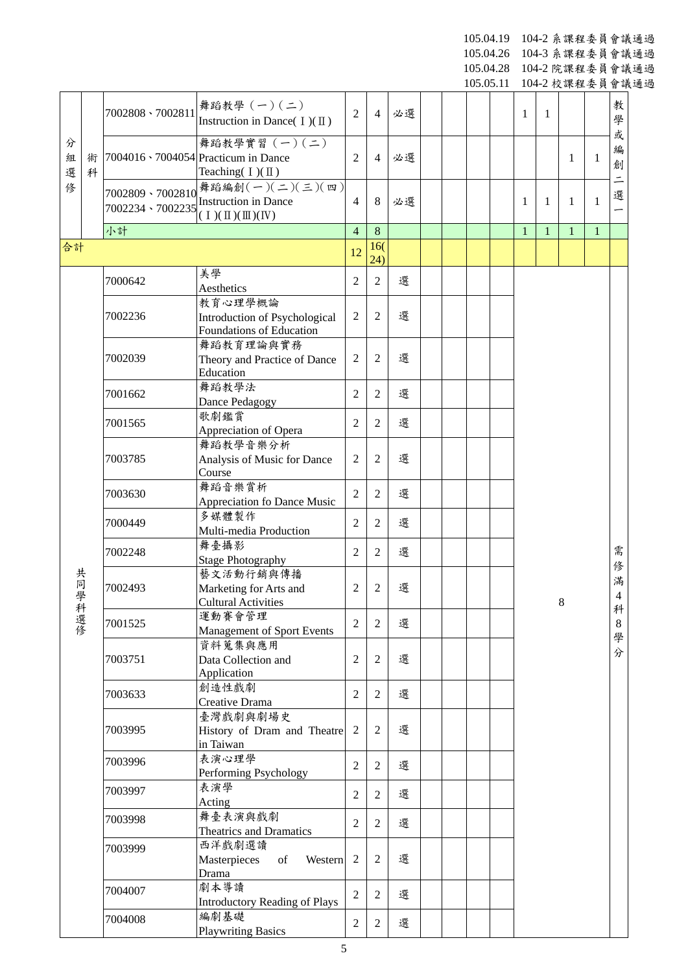105.04.19 104-2 系課程委員會議通過 105.04.26 104-3 系課程委員會議通過

105.04.28 104-2 院課程委員會議通過

105.05.11 104-2 校課程委員會議通過

|             |        |                  |                                                                                               |                |                |    |  | 10 <i>0.</i> 0 <i>0.</i> 11 |              |              | 10+-2 仪沐任女只冒哦: |              |                          |
|-------------|--------|------------------|-----------------------------------------------------------------------------------------------|----------------|----------------|----|--|-----------------------------|--------------|--------------|----------------|--------------|--------------------------|
|             |        | 7002808 \7002811 | 舞蹈教學 (一)(二)<br>Instruction in Dance( $I)(II)$ )                                               | $\overline{2}$ | $\overline{4}$ | 必選 |  |                             | 1            | 1            |                |              | 教<br>學                   |
| 分<br>組<br>選 | 術<br>科 |                  | 舞蹈教學實習 (一)(二)<br>7004016 \cdot 7004054 Practicum in Dance<br>Teaching $(I)(II)$               | $\overline{2}$ | $\overline{4}$ | 必選 |  |                             |              |              | 1              | 1            | 或<br>編<br>創              |
| 俢           |        | 7002809 \7002810 | 舞蹈編創(一)(二)(三)(四)<br>7002234 \cdot 7002235 Instruction in Dance                                | $\overline{4}$ | 8              | 必選 |  |                             | 1            | 1            | 1              | 1            | 選                        |
|             |        | 小計               |                                                                                               | $\overline{4}$ | 8              |    |  |                             | $\mathbf{1}$ | $\mathbf{1}$ | $\mathbf{1}$   | $\mathbf{1}$ |                          |
| 合計          |        |                  |                                                                                               | 12             | 16(<br>24)     |    |  |                             |              |              |                |              |                          |
|             |        | 7000642          | 美學<br>Aesthetics                                                                              | $\overline{2}$ | $\mathfrak{2}$ | 選  |  |                             |              |              |                |              |                          |
|             |        | 7002236          | 教育心理學概論<br>Introduction of Psychological<br>Foundations of Education                          | $\overline{2}$ | $\overline{2}$ | 選  |  |                             |              |              |                |              |                          |
|             |        | 7002039          | 舞蹈教育理論與實務<br>Theory and Practice of Dance<br>Education                                        | $\overline{2}$ | $\overline{2}$ | 選  |  |                             |              |              |                |              |                          |
|             |        | 7001662          | 舞蹈教學法<br>Dance Pedagogy                                                                       | $\overline{2}$ | 2              | 選  |  |                             |              |              |                |              |                          |
|             |        | 7001565          | 歌劇鑑賞<br>Appreciation of Opera                                                                 | $\overline{c}$ | $\overline{2}$ | 選  |  |                             |              |              |                |              |                          |
|             |        | 7003785          | 舞蹈教學音樂分析<br>Analysis of Music for Dance                                                       | 2              | $\mathfrak{2}$ | 選  |  |                             |              |              |                |              |                          |
|             |        | 7003630          | Course<br>舞蹈音樂賞析<br><b>Appreciation fo Dance Music</b>                                        | $\overline{2}$ | $\overline{2}$ | 選  |  |                             |              |              |                |              |                          |
|             |        | 7000449          | 多媒體製作<br>Multi-media Production                                                               | $\overline{c}$ | $\overline{2}$ | 選  |  |                             |              |              |                |              |                          |
|             |        | 7002248          | 舞臺攝影                                                                                          | 2              | $\overline{2}$ | 選  |  |                             |              |              |                | 需            |                          |
| 共同學         |        | 7002493          | <b>Stage Photography</b><br>藝文活動行銷與傳播<br>Marketing for Arts and<br><b>Cultural Activities</b> | 2              | $\overline{2}$ | 選  |  |                             |              |              | 8              |              | 俢<br>滿<br>$\overline{4}$ |
|             | 科選修    | 7001525          | 運動賽會管理<br><b>Management of Sport Events</b>                                                   | $\overline{2}$ | $\overline{2}$ | 選  |  |                             |              |              |                |              | 科<br>$8\phantom{1}$      |
|             |        | 7003751          | 資料蒐集與應用<br>Data Collection and<br>Application                                                 | $\overline{c}$ | $\overline{2}$ | 選  |  |                             |              |              |                |              | 學<br>分                   |
|             |        | 7003633          | 創造性戲劇<br>Creative Drama                                                                       | $\overline{2}$ | $\overline{2}$ | 選  |  |                             |              |              |                |              |                          |
|             |        | 7003995          | 臺灣戲劇與劇場史<br>History of Dram and Theatre<br>in Taiwan                                          | $\overline{2}$ | $\overline{2}$ | 選  |  |                             |              |              |                |              |                          |
|             |        | 7003996          | 表演心理學<br>Performing Psychology                                                                | $\overline{2}$ | $\overline{2}$ | 選  |  |                             |              |              |                |              |                          |
|             |        | 7003997          | 表演學<br>Acting                                                                                 | $\overline{c}$ | $\overline{2}$ | 選  |  |                             |              |              |                |              |                          |
|             |        | 7003998          | 舞臺表演與戲劇<br>Theatrics and Dramatics                                                            | $\overline{2}$ | $\overline{2}$ | 選  |  |                             |              |              |                |              |                          |
|             |        | 7003999          | 西洋戲劇選讀<br>Masterpieces<br>of<br>Western<br>Drama                                              | $\overline{2}$ | $\overline{2}$ | 選  |  |                             |              |              |                |              |                          |
|             |        | 7004007          | 劇本導讀<br><b>Introductory Reading of Plays</b>                                                  | $\overline{2}$ | 2              | 選  |  |                             |              |              |                |              |                          |
|             |        | 7004008          | 編劇基礎<br><b>Playwriting Basics</b>                                                             | 2              | $\overline{2}$ | 選  |  |                             |              |              |                |              |                          |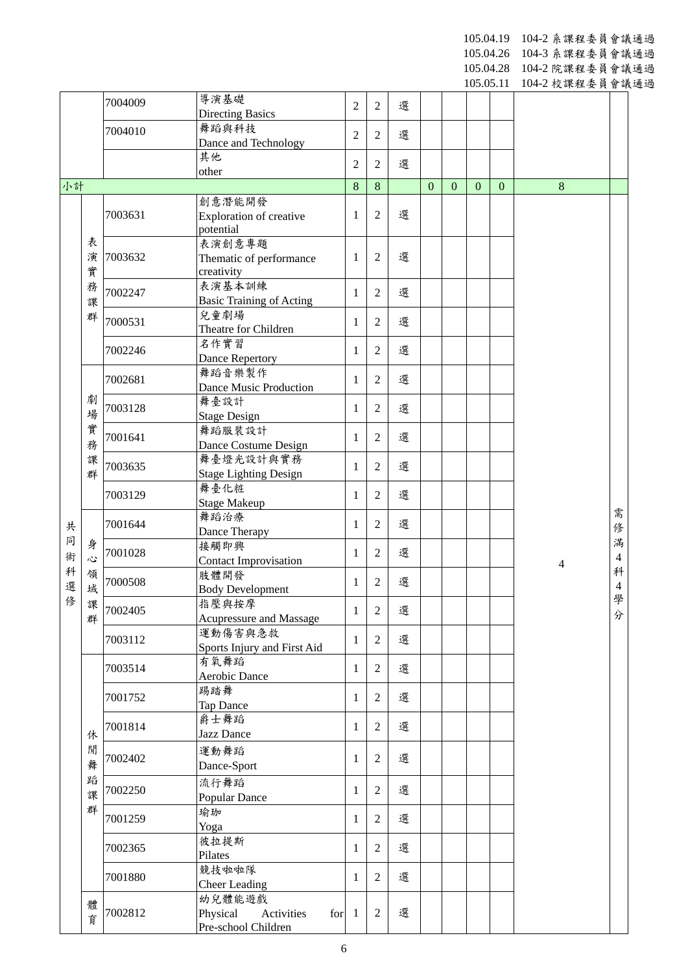10 5.0 4 .19 10 4 - 2 系課程委員會議通過

10 5.0 4 .26 10 4 - 3 系課程委員會議通過

105.04.28 104 - 2 院課程委員會議通過 105.05.11 104 - 2 校課程委員會議通過

|        |                    |         |                                             |                |                |   |                |              | 100.00.11    |              | 10+-2 仪:冰/生女只冒哦 |                     |
|--------|--------------------|---------|---------------------------------------------|----------------|----------------|---|----------------|--------------|--------------|--------------|-----------------|---------------------|
|        |                    | 7004009 | 導演基礎                                        | $\overline{2}$ | 2              | 選 |                |              |              |              |                 |                     |
|        |                    | 7004010 | <b>Directing Basics</b><br>舞蹈與科技            |                |                |   |                |              |              |              |                 |                     |
|        |                    |         | Dance and Technology                        | $\overline{2}$ | $\overline{2}$ | 選 |                |              |              |              |                 |                     |
|        |                    |         | 其他                                          | $\overline{2}$ | 2              | 選 |                |              |              |              |                 |                     |
|        |                    |         | other                                       |                |                |   |                |              |              |              |                 |                     |
| 小計     |                    |         |                                             | 8              | 8              |   | $\overline{0}$ | $\mathbf{0}$ | $\mathbf{0}$ | $\mathbf{0}$ | 8               |                     |
|        |                    | 7003631 | 創意潛能開發                                      | 1              | 2              | 選 |                |              |              |              |                 |                     |
|        |                    |         | <b>Exploration of creative</b><br>potential |                |                |   |                |              |              |              |                 |                     |
|        | 表                  |         | 表演創意專題                                      |                |                |   |                |              |              |              |                 |                     |
|        | 演                  | 7003632 | Thematic of performance                     | 1              | 2              | 選 |                |              |              |              |                 |                     |
|        | 實                  |         | creativity                                  |                |                |   |                |              |              |              |                 |                     |
|        | 務                  | 7002247 | 表演基本訓練                                      | 1              | 2              | 選 |                |              |              |              |                 |                     |
|        | 課                  |         | <b>Basic Training of Acting</b>             |                |                |   |                |              |              |              |                 |                     |
|        | 群                  | 7000531 | 兒童劇場<br>Theatre for Children                | 1              | 2              | 選 |                |              |              |              |                 |                     |
|        |                    |         | 名作實習                                        |                |                |   |                |              |              |              |                 |                     |
|        |                    | 7002246 | Dance Repertory                             | 1              | $\overline{2}$ | 選 |                |              |              |              |                 |                     |
|        |                    | 7002681 | 舞蹈音樂製作                                      |                |                | 選 |                |              |              |              |                 |                     |
|        |                    |         | <b>Dance Music Production</b>               | 1              | 2              |   |                |              |              |              |                 |                     |
|        | 劇                  | 7003128 | 舞臺設計                                        | 1              | 2              | 選 |                |              |              |              |                 |                     |
|        | 場                  |         | <b>Stage Design</b>                         |                |                |   |                |              |              |              |                 |                     |
|        | 實                  | 7001641 | 舞蹈服裝設計                                      | 1              | 2              | 選 |                |              |              |              |                 |                     |
|        | 務<br>課             |         | Dance Costume Design<br>舞臺燈光設計與實務           |                |                |   |                |              |              |              |                 |                     |
|        | 群                  | 7003635 | <b>Stage Lighting Design</b>                | 1              | $\overline{2}$ | 選 |                |              |              |              |                 |                     |
|        |                    |         | 舞臺化粧                                        |                |                |   |                |              |              |              |                 |                     |
|        |                    | 7003129 | <b>Stage Makeup</b>                         | 1              | 2              | 選 |                |              |              |              |                 |                     |
|        |                    | 7001644 | 舞蹈治療                                        | 1              | 2              | 選 |                |              |              |              |                 | 需                   |
| 共<br>同 |                    |         | Dance Therapy                               |                |                |   |                |              |              |              | 修               |                     |
| 術      | 身                  | 7001028 | 接觸即興                                        | 1              | 2              | 選 |                |              |              |              |                 | 滿<br>$\overline{4}$ |
| 科      | $\mathcal{L}$<br>領 |         | <b>Contact Improvisation</b><br>肢體開發        |                |                |   |                |              |              |              | $\overline{4}$  | 科                   |
| 選      | 域                  | 7000508 | <b>Body Development</b>                     | 1              | 2              | 選 |                |              |              |              |                 | $\overline{4}$      |
| 俢      | 課                  |         | 指壓與按摩                                       |                |                |   |                |              |              |              |                 | 學                   |
|        | 群                  | 7002405 | Acupressure and Massage                     | 1              | $\overline{2}$ | 選 |                |              |              |              |                 | 分                   |
|        |                    | 7003112 | 運動傷害與急救                                     | 1              | 2              | 選 |                |              |              |              |                 |                     |
|        |                    |         | Sports Injury and First Aid                 |                |                |   |                |              |              |              |                 |                     |
|        |                    | 7003514 | 有氧舞蹈                                        | 1              | $\overline{2}$ | 選 |                |              |              |              |                 |                     |
|        |                    |         | Aerobic Dance<br>踢踏舞                        |                |                |   |                |              |              |              |                 |                     |
|        |                    | 7001752 | Tap Dance                                   | 1              | 2              | 選 |                |              |              |              |                 |                     |
|        |                    |         | 爵士舞蹈                                        |                |                |   |                |              |              |              |                 |                     |
|        | 休                  | 7001814 | Jazz Dance                                  | 1              | 2              | 選 |                |              |              |              |                 |                     |
|        | 閒                  |         | 運動舞蹈                                        |                |                |   |                |              |              |              |                 |                     |
|        | 舞                  | 7002402 | Dance-Sport                                 | 1              | 2              | 選 |                |              |              |              |                 |                     |
|        | 蹈                  |         | 流行舞蹈                                        |                |                |   |                |              |              |              |                 |                     |
|        | 課                  | 7002250 | Popular Dance                               | 1              | 2              | 選 |                |              |              |              |                 |                     |
|        | 群                  | 7001259 | 瑜珈                                          | 1              | 2              | 選 |                |              |              |              |                 |                     |
|        |                    |         | Yoga                                        |                |                |   |                |              |              |              |                 |                     |
|        |                    | 7002365 | 彼拉提斯                                        | 1              | 2              | 選 |                |              |              |              |                 |                     |
|        |                    |         | Pilates<br>競技啦啦隊                            |                |                |   |                |              |              |              |                 |                     |
|        |                    | 7001880 | <b>Cheer Leading</b>                        | 1              | 2              | 選 |                |              |              |              |                 |                     |
|        |                    |         | 幼兒體能遊戲                                      |                |                |   |                |              |              |              |                 |                     |
|        | 體<br>育             | 7002812 | Physical<br>Activities<br>for               | -1             | 2              | 選 |                |              |              |              |                 |                     |
|        |                    |         | Pre-school Children                         |                |                |   |                |              |              |              |                 |                     |